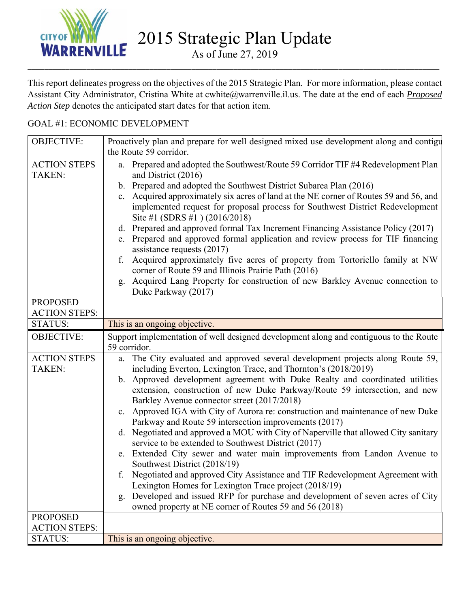

As of June 27, 2019 \_\_\_\_\_\_\_\_\_\_\_\_\_\_\_\_\_\_\_\_\_\_\_\_\_\_\_\_\_\_\_\_\_\_\_\_\_\_\_\_\_\_\_\_\_\_\_\_\_\_\_\_\_\_\_\_\_\_\_\_\_\_\_\_\_\_\_\_\_\_\_\_\_\_\_\_\_\_\_\_\_\_\_\_\_\_\_\_\_\_\_\_\_\_\_\_\_\_

This report delineates progress on the objectives of the 2015 Strategic Plan. For more information, please contact Assistant City Administrator, Cristina White at cwhite@warrenville.il.us. The date at the end of each *Proposed Action Step* denotes the anticipated start dates for that action item.

## GOAL #1: ECONOMIC DEVELOPMENT

| <b>OBJECTIVE:</b>                      | Proactively plan and prepare for well designed mixed use development along and contigu                                                                                                                    |
|----------------------------------------|-----------------------------------------------------------------------------------------------------------------------------------------------------------------------------------------------------------|
|                                        | the Route 59 corridor.                                                                                                                                                                                    |
| <b>ACTION STEPS</b>                    | a. Prepared and adopted the Southwest/Route 59 Corridor TIF #4 Redevelopment Plan                                                                                                                         |
| <b>TAKEN:</b>                          | and District (2016)                                                                                                                                                                                       |
|                                        | b. Prepared and adopted the Southwest District Subarea Plan (2016)                                                                                                                                        |
|                                        | c. Acquired approximately six acres of land at the NE corner of Routes 59 and 56, and<br>implemented request for proposal process for Southwest District Redevelopment<br>Site #1 (SDRS #1) $(2016/2018)$ |
|                                        | d. Prepared and approved formal Tax Increment Financing Assistance Policy (2017)                                                                                                                          |
|                                        | Prepared and approved formal application and review process for TIF financing<br>e.<br>assistance requests $(2017)$                                                                                       |
|                                        | Acquired approximately five acres of property from Tortoriello family at NW<br>f.<br>corner of Route 59 and Illinois Prairie Path (2016)                                                                  |
|                                        | Acquired Lang Property for construction of new Barkley Avenue connection to<br>g <sub>r</sub><br>Duke Parkway (2017)                                                                                      |
| <b>PROPOSED</b>                        |                                                                                                                                                                                                           |
| <b>ACTION STEPS:</b>                   |                                                                                                                                                                                                           |
| <b>STATUS:</b>                         | This is an ongoing objective.                                                                                                                                                                             |
| <b>OBJECTIVE:</b>                      | Support implementation of well designed development along and contiguous to the Route<br>59 corridor.                                                                                                     |
| <b>ACTION STEPS</b>                    | The City evaluated and approved several development projects along Route 59,<br>a.                                                                                                                        |
| <b>TAKEN:</b>                          | including Everton, Lexington Trace, and Thornton's (2018/2019)                                                                                                                                            |
|                                        | b. Approved development agreement with Duke Realty and coordinated utilities                                                                                                                              |
|                                        | extension, construction of new Duke Parkway/Route 59 intersection, and new<br>Barkley Avenue connector street (2017/2018)                                                                                 |
|                                        | c. Approved IGA with City of Aurora re: construction and maintenance of new Duke                                                                                                                          |
|                                        | Parkway and Route 59 intersection improvements (2017)                                                                                                                                                     |
|                                        | d. Negotiated and approved a MOU with City of Naperville that allowed City sanitary<br>service to be extended to Southwest District (2017)                                                                |
|                                        | e. Extended City sewer and water main improvements from Landon Avenue to                                                                                                                                  |
|                                        |                                                                                                                                                                                                           |
|                                        | Southwest District (2018/19)                                                                                                                                                                              |
|                                        | f. Negotiated and approved City Assistance and TIF Redevelopment Agreement with                                                                                                                           |
|                                        | Lexington Homes for Lexington Trace project (2018/19)                                                                                                                                                     |
|                                        | Developed and issued RFP for purchase and development of seven acres of City<br>g.                                                                                                                        |
|                                        | owned property at NE corner of Routes 59 and 56 (2018)                                                                                                                                                    |
| <b>PROPOSED</b>                        |                                                                                                                                                                                                           |
| <b>ACTION STEPS:</b><br><b>STATUS:</b> | This is an ongoing objective.                                                                                                                                                                             |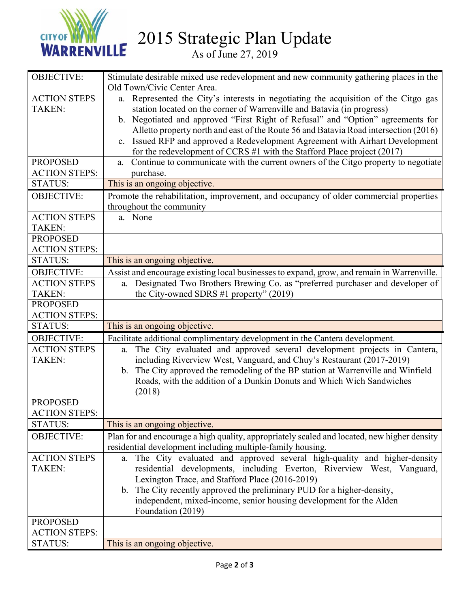

2015 Strategic Plan Update

As of June 27, 2019

| <b>OBJECTIVE:</b>    | Stimulate desirable mixed use redevelopment and new community gathering places in the            |
|----------------------|--------------------------------------------------------------------------------------------------|
|                      | Old Town/Civic Center Area.                                                                      |
| <b>ACTION STEPS</b>  | a. Represented the City's interests in negotiating the acquisition of the Citgo gas              |
| <b>TAKEN:</b>        | station located on the corner of Warrenville and Batavia (in progress)                           |
|                      | b. Negotiated and approved "First Right of Refusal" and "Option" agreements for                  |
|                      | Alletto property north and east of the Route 56 and Batavia Road intersection (2016)             |
|                      | c. Issued RFP and approved a Redevelopment Agreement with Airhart Development                    |
|                      | for the redevelopment of CCRS $#1$ with the Stafford Place project (2017)                        |
| <b>PROPOSED</b>      | Continue to communicate with the current owners of the Citgo property to negotiate<br>a.         |
| <b>ACTION STEPS:</b> | purchase.                                                                                        |
| <b>STATUS:</b>       | This is an ongoing objective.                                                                    |
| <b>OBJECTIVE:</b>    | Promote the rehabilitation, improvement, and occupancy of older commercial properties            |
|                      | throughout the community                                                                         |
| <b>ACTION STEPS</b>  | a. None                                                                                          |
| <b>TAKEN:</b>        |                                                                                                  |
| <b>PROPOSED</b>      |                                                                                                  |
| <b>ACTION STEPS:</b> |                                                                                                  |
| <b>STATUS:</b>       | This is an ongoing objective.                                                                    |
| <b>OBJECTIVE:</b>    | Assist and encourage existing local businesses to expand, grow, and remain in Warrenville.       |
| <b>ACTION STEPS</b>  | Designated Two Brothers Brewing Co. as "preferred purchaser and developer of<br>a.               |
| <b>TAKEN:</b>        | the City-owned SDRS $#1$ property" (2019)                                                        |
| <b>PROPOSED</b>      |                                                                                                  |
| <b>ACTION STEPS:</b> |                                                                                                  |
| <b>STATUS:</b>       | This is an ongoing objective.                                                                    |
| <b>OBJECTIVE:</b>    | Facilitate additional complimentary development in the Cantera development.                      |
| <b>ACTION STEPS</b>  | The City evaluated and approved several development projects in Cantera,<br>a.                   |
| <b>TAKEN:</b>        | including Riverview West, Vanguard, and Chuy's Restaurant (2017-2019)                            |
|                      | The City approved the remodeling of the BP station at Warrenville and Winfield<br>$\mathbf{b}$ . |
|                      | Roads, with the addition of a Dunkin Donuts and Which Wich Sandwiches                            |
|                      | (2018)                                                                                           |
| <b>PROPOSED</b>      |                                                                                                  |
| <b>ACTION STEPS:</b> |                                                                                                  |
| <b>STATUS:</b>       | This is an ongoing objective.                                                                    |
| <b>OBJECTIVE:</b>    | Plan for and encourage a high quality, appropriately scaled and located, new higher density      |
|                      | residential development including multiple-family housing.                                       |
| <b>ACTION STEPS</b>  | a. The City evaluated and approved several high-quality and higher-density                       |
| <b>TAKEN:</b>        | residential developments, including Everton, Riverview West, Vanguard,                           |
|                      | Lexington Trace, and Stafford Place (2016-2019)                                                  |
|                      | b. The City recently approved the preliminary PUD for a higher-density,                          |
|                      | independent, mixed-income, senior housing development for the Alden                              |
|                      | Foundation (2019)                                                                                |
| <b>PROPOSED</b>      |                                                                                                  |
|                      |                                                                                                  |
| <b>ACTION STEPS:</b> |                                                                                                  |